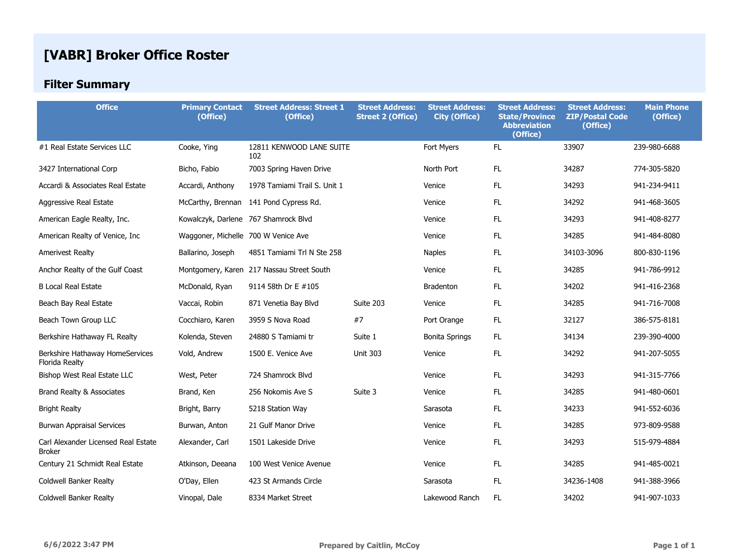## **[VABR] Broker Office Roster**

## **Filter Summary**

| <b>Office</b>                                        | <b>Primary Contact</b><br>(Office)   | <b>Street Address: Street 1</b><br>(Office) | <b>Street Address:</b><br><b>Street 2 (Office)</b> | <b>Street Address:</b><br><b>City (Office)</b> | <b>Street Address:</b><br><b>State/Province</b><br><b>Abbreviation</b><br>(Office) | <b>Street Address:</b><br><b>ZIP/Postal Code</b><br>(Office) | <b>Main Phone</b><br>(Office) |
|------------------------------------------------------|--------------------------------------|---------------------------------------------|----------------------------------------------------|------------------------------------------------|------------------------------------------------------------------------------------|--------------------------------------------------------------|-------------------------------|
| #1 Real Estate Services LLC                          | Cooke, Ying                          | 12811 KENWOOD LANE SUITE<br>102             |                                                    | Fort Myers                                     | FL                                                                                 | 33907                                                        | 239-980-6688                  |
| 3427 International Corp                              | Bicho, Fabio                         | 7003 Spring Haven Drive                     |                                                    | North Port                                     | FL.                                                                                | 34287                                                        | 774-305-5820                  |
| Accardi & Associates Real Estate                     | Accardi, Anthony                     | 1978 Tamiami Trail S. Unit 1                |                                                    | Venice                                         | FL.                                                                                | 34293                                                        | 941-234-9411                  |
| Aggressive Real Estate                               |                                      | McCarthy, Brennan 141 Pond Cypress Rd.      |                                                    | Venice                                         | FL.                                                                                | 34292                                                        | 941-468-3605                  |
| American Eagle Realty, Inc.                          | Kowalczyk, Darlene 767 Shamrock Blvd |                                             |                                                    | Venice                                         | FL.                                                                                | 34293                                                        | 941-408-8277                  |
| American Realty of Venice, Inc.                      | Waggoner, Michelle 700 W Venice Ave  |                                             |                                                    | Venice                                         | FL.                                                                                | 34285                                                        | 941-484-8080                  |
| <b>Amerivest Realty</b>                              | Ballarino, Joseph                    | 4851 Tamiami Trl N Ste 258                  |                                                    | <b>Naples</b>                                  | FL.                                                                                | 34103-3096                                                   | 800-830-1196                  |
| Anchor Realty of the Gulf Coast                      |                                      | Montgomery, Karen 217 Nassau Street South   |                                                    | Venice                                         | FL.                                                                                | 34285                                                        | 941-786-9912                  |
| <b>B Local Real Estate</b>                           | McDonald, Ryan                       | 9114 58th Dr E #105                         |                                                    | <b>Bradenton</b>                               | FL.                                                                                | 34202                                                        | 941-416-2368                  |
| Beach Bay Real Estate                                | Vaccai, Robin                        | 871 Venetia Bay Blvd                        | Suite 203                                          | Venice                                         | FL.                                                                                | 34285                                                        | 941-716-7008                  |
| Beach Town Group LLC                                 | Cocchiaro, Karen                     | 3959 S Nova Road                            | #7                                                 | Port Orange                                    | FL.                                                                                | 32127                                                        | 386-575-8181                  |
| Berkshire Hathaway FL Realty                         | Kolenda, Steven                      | 24880 S Tamiami tr                          | Suite 1                                            | <b>Bonita Springs</b>                          | FL.                                                                                | 34134                                                        | 239-390-4000                  |
| Berkshire Hathaway HomeServices<br>Florida Realty    | Vold, Andrew                         | 1500 E. Venice Ave                          | <b>Unit 303</b>                                    | Venice                                         | FL.                                                                                | 34292                                                        | 941-207-5055                  |
| Bishop West Real Estate LLC                          | West, Peter                          | 724 Shamrock Blvd                           |                                                    | Venice                                         | FL.                                                                                | 34293                                                        | 941-315-7766                  |
| Brand Realty & Associates                            | Brand, Ken                           | 256 Nokomis Ave S                           | Suite 3                                            | Venice                                         | FL.                                                                                | 34285                                                        | 941-480-0601                  |
| <b>Bright Realty</b>                                 | Bright, Barry                        | 5218 Station Way                            |                                                    | Sarasota                                       | FL.                                                                                | 34233                                                        | 941-552-6036                  |
| Burwan Appraisal Services                            | Burwan, Anton                        | 21 Gulf Manor Drive                         |                                                    | Venice                                         | FL.                                                                                | 34285                                                        | 973-809-9588                  |
| Carl Alexander Licensed Real Estate<br><b>Broker</b> | Alexander, Carl                      | 1501 Lakeside Drive                         |                                                    | Venice                                         | FL.                                                                                | 34293                                                        | 515-979-4884                  |
| Century 21 Schmidt Real Estate                       | Atkinson, Deeana                     | 100 West Venice Avenue                      |                                                    | Venice                                         | FL.                                                                                | 34285                                                        | 941-485-0021                  |
| <b>Coldwell Banker Realty</b>                        | O'Day, Ellen                         | 423 St Armands Circle                       |                                                    | Sarasota                                       | FL.                                                                                | 34236-1408                                                   | 941-388-3966                  |
| <b>Coldwell Banker Realty</b>                        | Vinopal, Dale                        | 8334 Market Street                          |                                                    | Lakewood Ranch                                 | FL.                                                                                | 34202                                                        | 941-907-1033                  |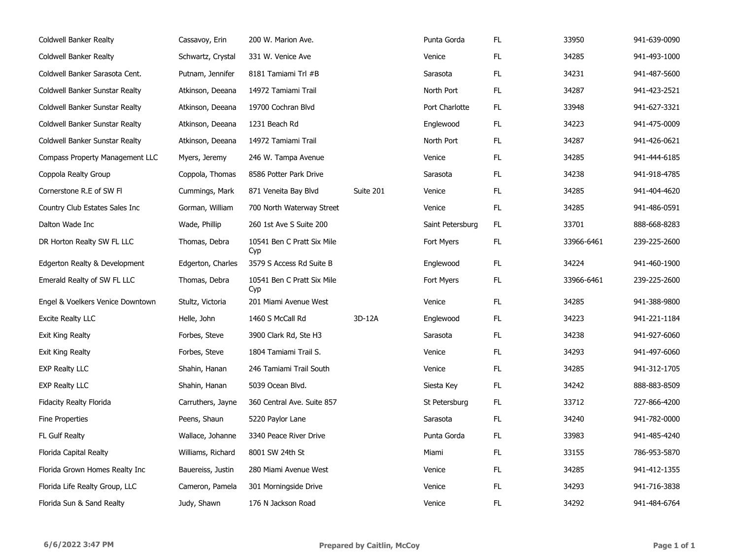| Coldwell Banker Realty           | Cassavoy, Erin    | 200 W. Marion Ave.                |           | Punta Gorda       | FL.           | 33950      | 941-639-0090 |
|----------------------------------|-------------------|-----------------------------------|-----------|-------------------|---------------|------------|--------------|
| Coldwell Banker Realty           | Schwartz, Crystal | 331 W. Venice Ave                 |           | Venice            | FL            | 34285      | 941-493-1000 |
| Coldwell Banker Sarasota Cent.   | Putnam, Jennifer  | 8181 Tamiami Trl #B               |           | Sarasota          | $\mathsf{FL}$ | 34231      | 941-487-5600 |
| Coldwell Banker Sunstar Realty   | Atkinson, Deeana  | 14972 Tamiami Trail               |           | North Port        | $\mathsf{FL}$ | 34287      | 941-423-2521 |
| Coldwell Banker Sunstar Realty   | Atkinson, Deeana  | 19700 Cochran Blvd                |           | Port Charlotte    | $\mathsf{FL}$ | 33948      | 941-627-3321 |
| Coldwell Banker Sunstar Realty   | Atkinson, Deeana  | 1231 Beach Rd                     |           | Englewood         | FL.           | 34223      | 941-475-0009 |
| Coldwell Banker Sunstar Realty   | Atkinson, Deeana  | 14972 Tamiami Trail               |           | North Port        | $\mathsf{FL}$ | 34287      | 941-426-0621 |
| Compass Property Management LLC  | Myers, Jeremy     | 246 W. Tampa Avenue               |           | Venice            | $\mathsf{FL}$ | 34285      | 941-444-6185 |
| Coppola Realty Group             | Coppola, Thomas   | 8586 Potter Park Drive            |           | Sarasota          | $\mathsf{FL}$ | 34238      | 941-918-4785 |
| Cornerstone R.E of SW Fl         | Cummings, Mark    | 871 Veneita Bay Blvd              | Suite 201 | Venice            | FL            | 34285      | 941-404-4620 |
| Country Club Estates Sales Inc   | Gorman, William   | 700 North Waterway Street         |           | Venice            | FL            | 34285      | 941-486-0591 |
| Dalton Wade Inc                  | Wade, Phillip     | 260 1st Ave S Suite 200           |           | Saint Petersburg  | $\mathsf{FL}$ | 33701      | 888-668-8283 |
| DR Horton Realty SW FL LLC       | Thomas, Debra     | 10541 Ben C Pratt Six Mile<br>Cyp |           | Fort Myers        | $\mathsf{FL}$ | 33966-6461 | 239-225-2600 |
| Edgerton Realty & Development    | Edgerton, Charles | 3579 S Access Rd Suite B          |           | Englewood         | FL.           | 34224      | 941-460-1900 |
| Emerald Realty of SW FL LLC      | Thomas, Debra     | 10541 Ben C Pratt Six Mile<br>Cyp |           | <b>Fort Myers</b> | FL.           | 33966-6461 | 239-225-2600 |
| Engel & Voelkers Venice Downtown | Stultz, Victoria  | 201 Miami Avenue West             |           | Venice            | FL.           | 34285      | 941-388-9800 |
| <b>Excite Realty LLC</b>         | Helle, John       | 1460 S McCall Rd                  | 3D-12A    | Englewood         | FL            | 34223      | 941-221-1184 |
| Exit King Realty                 | Forbes, Steve     | 3900 Clark Rd, Ste H3             |           | Sarasota          | FL.           | 34238      | 941-927-6060 |
| <b>Exit King Realty</b>          | Forbes, Steve     | 1804 Tamiami Trail S.             |           | Venice            | FL.           | 34293      | 941-497-6060 |
| <b>EXP Realty LLC</b>            | Shahin, Hanan     | 246 Tamiami Trail South           |           | Venice            | FL.           | 34285      | 941-312-1705 |
| <b>EXP Realty LLC</b>            | Shahin, Hanan     | 5039 Ocean Blvd.                  |           | Siesta Key        | FL.           | 34242      | 888-883-8509 |
| <b>Fidacity Realty Florida</b>   | Carruthers, Jayne | 360 Central Ave. Suite 857        |           | St Petersburg     | $\mathsf{FL}$ | 33712      | 727-866-4200 |
| Fine Properties                  | Peens, Shaun      | 5220 Paylor Lane                  |           | Sarasota          | FL.           | 34240      | 941-782-0000 |
| FL Gulf Realty                   | Wallace, Johanne  | 3340 Peace River Drive            |           | Punta Gorda       | FL.           | 33983      | 941-485-4240 |
| Florida Capital Realty           | Williams, Richard | 8001 SW 24th St                   |           | Miami             | FL            | 33155      | 786-953-5870 |
| Florida Grown Homes Realty Inc   | Bauereiss, Justin | 280 Miami Avenue West             |           | Venice            | FL.           | 34285      | 941-412-1355 |
| Florida Life Realty Group, LLC   | Cameron, Pamela   | 301 Morningside Drive             |           | Venice            | FL.           | 34293      | 941-716-3838 |
| Florida Sun & Sand Realty        | Judy, Shawn       | 176 N Jackson Road                |           | Venice            | $\mathsf{FL}$ | 34292      | 941-484-6764 |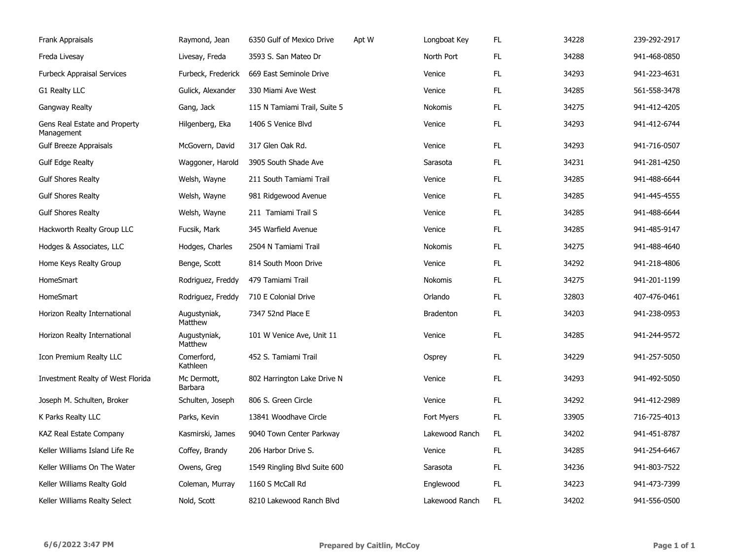| Frank Appraisals                            | Raymond, Jean           | 6350 Gulf of Mexico Drive    | Apt W | Longboat Key      | FL  | 34228 | 239-292-2917 |
|---------------------------------------------|-------------------------|------------------------------|-------|-------------------|-----|-------|--------------|
| Freda Livesay                               | Livesay, Freda          | 3593 S. San Mateo Dr         |       | North Port        | FL  | 34288 | 941-468-0850 |
| <b>Furbeck Appraisal Services</b>           | Furbeck, Frederick      | 669 East Seminole Drive      |       | Venice            | FL. | 34293 | 941-223-4631 |
| G1 Realty LLC                               | Gulick, Alexander       | 330 Miami Ave West           |       | Venice            | FL. | 34285 | 561-558-3478 |
| Gangway Realty                              | Gang, Jack              | 115 N Tamiami Trail, Suite 5 |       | Nokomis           | FL. | 34275 | 941-412-4205 |
| Gens Real Estate and Property<br>Management | Hilgenberg, Eka         | 1406 S Venice Blvd           |       | Venice            | FL  | 34293 | 941-412-6744 |
| Gulf Breeze Appraisals                      | McGovern, David         | 317 Glen Oak Rd.             |       | Venice            | FL. | 34293 | 941-716-0507 |
| <b>Gulf Edge Realty</b>                     | Waggoner, Harold        | 3905 South Shade Ave         |       | Sarasota          | FL  | 34231 | 941-281-4250 |
| <b>Gulf Shores Realty</b>                   | Welsh, Wayne            | 211 South Tamiami Trail      |       | Venice            | FL. | 34285 | 941-488-6644 |
| <b>Gulf Shores Realty</b>                   | Welsh, Wayne            | 981 Ridgewood Avenue         |       | Venice            | FL. | 34285 | 941-445-4555 |
| <b>Gulf Shores Realty</b>                   | Welsh, Wayne            | 211 Tamiami Trail S          |       | Venice            | FL. | 34285 | 941-488-6644 |
| Hackworth Realty Group LLC                  | Fucsik, Mark            | 345 Warfield Avenue          |       | Venice            | FL. | 34285 | 941-485-9147 |
| Hodges & Associates, LLC                    | Hodges, Charles         | 2504 N Tamiami Trail         |       | Nokomis           | FL. | 34275 | 941-488-4640 |
| Home Keys Realty Group                      | Benge, Scott            | 814 South Moon Drive         |       | Venice            | FL. | 34292 | 941-218-4806 |
| HomeSmart                                   | Rodriguez, Freddy       | 479 Tamiami Trail            |       | <b>Nokomis</b>    | FL  | 34275 | 941-201-1199 |
| HomeSmart                                   | Rodriguez, Freddy       | 710 E Colonial Drive         |       | Orlando           | FL. | 32803 | 407-476-0461 |
| Horizon Realty International                | Augustyniak,<br>Matthew | 7347 52nd Place E            |       | <b>Bradenton</b>  | FL. | 34203 | 941-238-0953 |
| Horizon Realty International                | Augustyniak,<br>Matthew | 101 W Venice Ave, Unit 11    |       | Venice            | FL  | 34285 | 941-244-9572 |
| Icon Premium Realty LLC                     | Comerford,<br>Kathleen  | 452 S. Tamiami Trail         |       | Osprey            | FL  | 34229 | 941-257-5050 |
| Investment Realty of West Florida           | Mc Dermott,<br>Barbara  | 802 Harrington Lake Drive N  |       | Venice            | FL. | 34293 | 941-492-5050 |
| Joseph M. Schulten, Broker                  | Schulten, Joseph        | 806 S. Green Circle          |       | Venice            | FL  | 34292 | 941-412-2989 |
| K Parks Realty LLC                          | Parks, Kevin            | 13841 Woodhave Circle        |       | <b>Fort Myers</b> | FL. | 33905 | 716-725-4013 |
| KAZ Real Estate Company                     | Kasmirski, James        | 9040 Town Center Parkway     |       | Lakewood Ranch    | FL. | 34202 | 941-451-8787 |
| Keller Williams Island Life Re              | Coffey, Brandy          | 206 Harbor Drive S.          |       | Venice            | FL. | 34285 | 941-254-6467 |
| Keller Williams On The Water                | Owens, Greg             | 1549 Ringling Blvd Suite 600 |       | Sarasota          | FL  | 34236 | 941-803-7522 |
| Keller Williams Realty Gold                 | Coleman, Murray         | 1160 S McCall Rd             |       | Englewood         | FL. | 34223 | 941-473-7399 |
| Keller Williams Realty Select               | Nold, Scott             | 8210 Lakewood Ranch Blvd     |       | Lakewood Ranch    | FL. | 34202 | 941-556-0500 |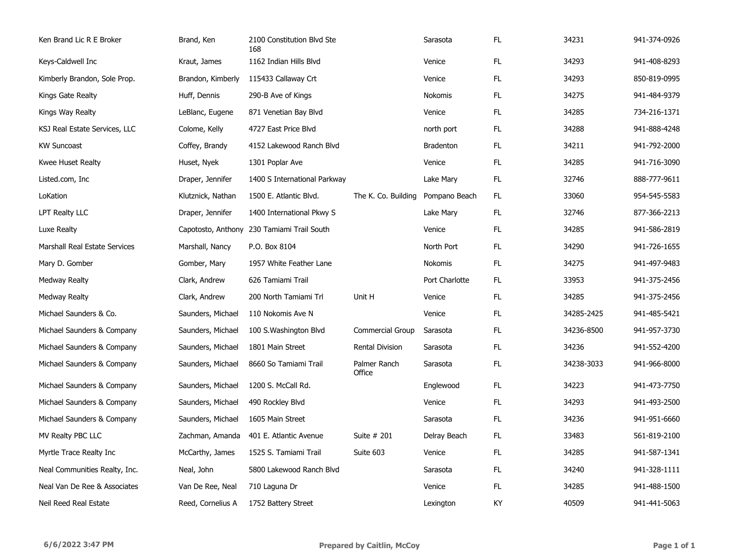| Ken Brand Lic R E Broker             | Brand, Ken         | 2100 Constitution Blvd Ste<br>168 |                        | Sarasota         | FL  | 34231      | 941-374-0926 |
|--------------------------------------|--------------------|-----------------------------------|------------------------|------------------|-----|------------|--------------|
| Keys-Caldwell Inc                    | Kraut, James       | 1162 Indian Hills Blvd            |                        | Venice           | FL  | 34293      | 941-408-8293 |
| Kimberly Brandon, Sole Prop.         | Brandon, Kimberly  | 115433 Callaway Crt               |                        | Venice           | FL. | 34293      | 850-819-0995 |
| Kings Gate Realty                    | Huff, Dennis       | 290-B Ave of Kings                |                        | Nokomis          | FL. | 34275      | 941-484-9379 |
| Kings Way Realty                     | LeBlanc, Eugene    | 871 Venetian Bay Blvd             |                        | Venice           | FL  | 34285      | 734-216-1371 |
| KSJ Real Estate Services, LLC        | Colome, Kelly      | 4727 East Price Blvd              |                        | north port       | FL. | 34288      | 941-888-4248 |
| <b>KW Suncoast</b>                   | Coffey, Brandy     | 4152 Lakewood Ranch Blvd          |                        | <b>Bradenton</b> | FL. | 34211      | 941-792-2000 |
| Kwee Huset Realty                    | Huset, Nyek        | 1301 Poplar Ave                   |                        | Venice           | FL  | 34285      | 941-716-3090 |
| Listed.com, Inc                      | Draper, Jennifer   | 1400 S International Parkway      |                        | Lake Mary        | FL. | 32746      | 888-777-9611 |
| LoKation                             | Klutznick, Nathan  | 1500 E. Atlantic Blvd.            | The K. Co. Building    | Pompano Beach    | FL. | 33060      | 954-545-5583 |
| LPT Realty LLC                       | Draper, Jennifer   | 1400 International Pkwy S         |                        | Lake Mary        | FL. | 32746      | 877-366-2213 |
| Luxe Realty                          | Capotosto, Anthony | 230 Tamiami Trail South           |                        | Venice           | FL  | 34285      | 941-586-2819 |
| <b>Marshall Real Estate Services</b> | Marshall, Nancy    | P.O. Box 8104                     |                        | North Port       | FL. | 34290      | 941-726-1655 |
| Mary D. Gomber                       | Gomber, Mary       | 1957 White Feather Lane           |                        | Nokomis          | FL  | 34275      | 941-497-9483 |
| Medway Realty                        | Clark, Andrew      | 626 Tamiami Trail                 |                        | Port Charlotte   | FL. | 33953      | 941-375-2456 |
| Medway Realty                        | Clark, Andrew      | 200 North Tamiami Trl             | Unit H                 | Venice           | FL. | 34285      | 941-375-2456 |
| Michael Saunders & Co.               | Saunders, Michael  | 110 Nokomis Ave N                 |                        | Venice           | FL  | 34285-2425 | 941-485-5421 |
| Michael Saunders & Company           | Saunders, Michael  | 100 S. Washington Blvd            | Commercial Group       | Sarasota         | FL. | 34236-8500 | 941-957-3730 |
| Michael Saunders & Company           | Saunders, Michael  | 1801 Main Street                  | Rental Division        | Sarasota         | FL. | 34236      | 941-552-4200 |
| Michael Saunders & Company           | Saunders, Michael  | 8660 So Tamiami Trail             | Palmer Ranch<br>Office | Sarasota         | FL  | 34238-3033 | 941-966-8000 |
| Michael Saunders & Company           | Saunders, Michael  | 1200 S. McCall Rd.                |                        | Englewood        | FL. | 34223      | 941-473-7750 |
| Michael Saunders & Company           | Saunders, Michael  | 490 Rockley Blvd                  |                        | Venice           | FL  | 34293      | 941-493-2500 |
| Michael Saunders & Company           | Saunders, Michael  | 1605 Main Street                  |                        | Sarasota         | FL  | 34236      | 941-951-6660 |
| MV Realty PBC LLC                    | Zachman, Amanda    | 401 E. Atlantic Avenue            | Suite # 201            | Delray Beach     | FL. | 33483      | 561-819-2100 |
| Myrtle Trace Realty Inc              | McCarthy, James    | 1525 S. Tamiami Trail             | Suite 603              | Venice           | FL  | 34285      | 941-587-1341 |
| Neal Communities Realty, Inc.        | Neal, John         | 5800 Lakewood Ranch Blvd          |                        | Sarasota         | FL. | 34240      | 941-328-1111 |
| Neal Van De Ree & Associates         | Van De Ree, Neal   | 710 Laguna Dr                     |                        | Venice           | FL. | 34285      | 941-488-1500 |
| Neil Reed Real Estate                | Reed, Cornelius A  | 1752 Battery Street               |                        | Lexington        | KY  | 40509      | 941-441-5063 |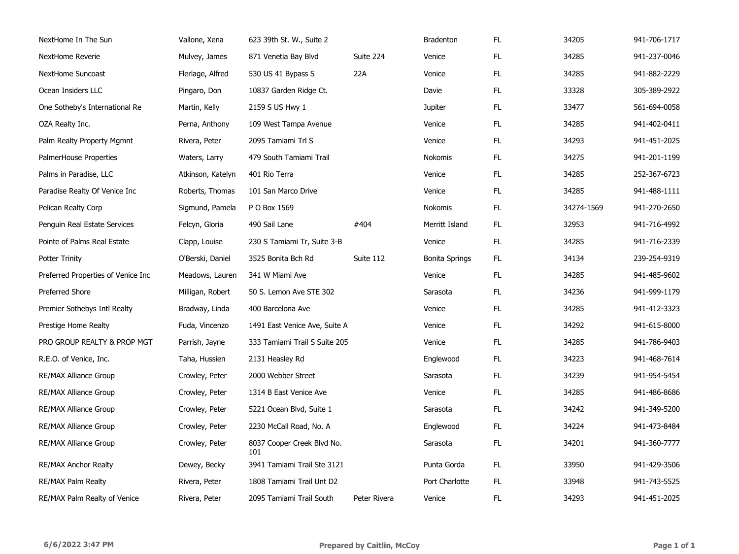| NextHome In The Sun                | Vallone, Xena     | 623 39th St. W., Suite 2          |              | Bradenton      | FL.           | 34205      | 941-706-1717 |
|------------------------------------|-------------------|-----------------------------------|--------------|----------------|---------------|------------|--------------|
| NextHome Reverie                   | Mulvey, James     | 871 Venetia Bay Blvd              | Suite 224    | Venice         | FL            | 34285      | 941-237-0046 |
| NextHome Suncoast                  | Flerlage, Alfred  | 530 US 41 Bypass S                | 22A          | Venice         | FL.           | 34285      | 941-882-2229 |
| Ocean Insiders LLC                 | Pingaro, Don      | 10837 Garden Ridge Ct.            |              | Davie          | FL.           | 33328      | 305-389-2922 |
| One Sotheby's International Re     | Martin, Kelly     | 2159 S US Hwy 1                   |              | <b>Jupiter</b> | FL.           | 33477      | 561-694-0058 |
| OZA Realty Inc.                    | Perna, Anthony    | 109 West Tampa Avenue             |              | Venice         | FL.           | 34285      | 941-402-0411 |
| Palm Realty Property Mgmnt         | Rivera, Peter     | 2095 Tamiami Trl S                |              | Venice         | FL.           | 34293      | 941-451-2025 |
| PalmerHouse Properties             | Waters, Larry     | 479 South Tamiami Trail           |              | Nokomis        | FL.           | 34275      | 941-201-1199 |
| Palms in Paradise, LLC             | Atkinson, Katelyn | 401 Rio Terra                     |              | Venice         | FL.           | 34285      | 252-367-6723 |
| Paradise Realty Of Venice Inc      | Roberts, Thomas   | 101 San Marco Drive               |              | Venice         | FL.           | 34285      | 941-488-1111 |
| Pelican Realty Corp                | Sigmund, Pamela   | P O Box 1569                      |              | Nokomis        | FL.           | 34274-1569 | 941-270-2650 |
| Penguin Real Estate Services       | Felcyn, Gloria    | 490 Sail Lane                     | #404         | Merritt Island | FL.           | 32953      | 941-716-4992 |
| Pointe of Palms Real Estate        | Clapp, Louise     | 230 S Tamiami Tr, Suite 3-B       |              | Venice         | FL.           | 34285      | 941-716-2339 |
| <b>Potter Trinity</b>              | O'Berski, Daniel  | 3525 Bonita Bch Rd                | Suite 112    | Bonita Springs | FL.           | 34134      | 239-254-9319 |
| Preferred Properties of Venice Inc | Meadows, Lauren   | 341 W Miami Ave                   |              | Venice         | FL.           | 34285      | 941-485-9602 |
| Preferred Shore                    | Milligan, Robert  | 50 S. Lemon Ave STE 302           |              | Sarasota       | FL.           | 34236      | 941-999-1179 |
| Premier Sothebys Intl Realty       | Bradway, Linda    | 400 Barcelona Ave                 |              | Venice         | FL.           | 34285      | 941-412-3323 |
| Prestige Home Realty               | Fuda, Vincenzo    | 1491 East Venice Ave, Suite A     |              | Venice         | FL.           | 34292      | 941-615-8000 |
| PRO GROUP REALTY & PROP MGT        | Parrish, Jayne    | 333 Tamiami Trail S Suite 205     |              | Venice         | $\mathsf{FL}$ | 34285      | 941-786-9403 |
| R.E.O. of Venice, Inc.             | Taha, Hussien     | 2131 Heasley Rd                   |              | Englewood      | FL.           | 34223      | 941-468-7614 |
| <b>RE/MAX Alliance Group</b>       | Crowley, Peter    | 2000 Webber Street                |              | Sarasota       | FL.           | 34239      | 941-954-5454 |
| RE/MAX Alliance Group              | Crowley, Peter    | 1314 B East Venice Ave            |              | Venice         | $\mathsf{FL}$ | 34285      | 941-486-8686 |
| <b>RE/MAX Alliance Group</b>       | Crowley, Peter    | 5221 Ocean Blvd, Suite 1          |              | Sarasota       | FL.           | 34242      | 941-349-5200 |
| <b>RE/MAX Alliance Group</b>       | Crowley, Peter    | 2230 McCall Road, No. A           |              | Englewood      | FL.           | 34224      | 941-473-8484 |
| <b>RE/MAX Alliance Group</b>       | Crowley, Peter    | 8037 Cooper Creek Blvd No.<br>101 |              | Sarasota       | FL.           | 34201      | 941-360-7777 |
| RE/MAX Anchor Realty               | Dewey, Becky      | 3941 Tamiami Trail Ste 3121       |              | Punta Gorda    | FL.           | 33950      | 941-429-3506 |
| RE/MAX Palm Realty                 | Rivera, Peter     | 1808 Tamiami Trail Unt D2         |              | Port Charlotte | FL.           | 33948      | 941-743-5525 |
| RE/MAX Palm Realty of Venice       | Rivera, Peter     | 2095 Tamiami Trail South          | Peter Rivera | Venice         | FL.           | 34293      | 941-451-2025 |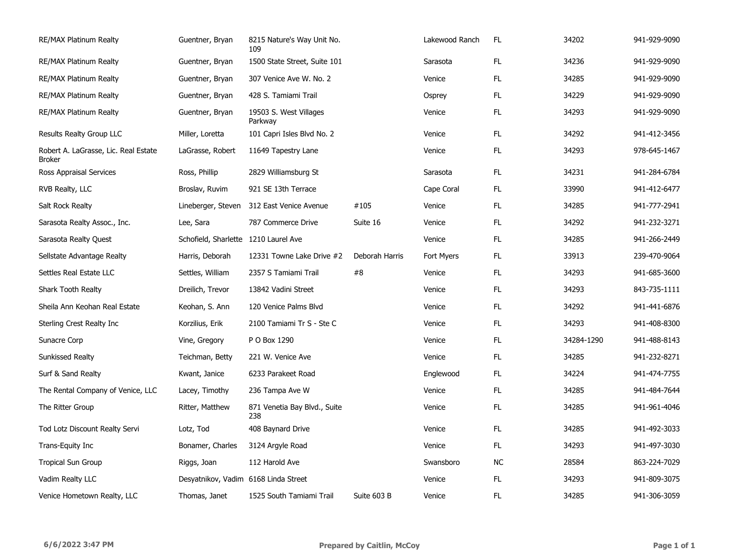| RE/MAX Platinum Realty                         | Guentner, Bryan                      | 8215 Nature's Way Unit No.<br>109   |                | Lakewood Ranch | FL.           | 34202      | 941-929-9090 |
|------------------------------------------------|--------------------------------------|-------------------------------------|----------------|----------------|---------------|------------|--------------|
| RE/MAX Platinum Realty                         | Guentner, Bryan                      | 1500 State Street, Suite 101        |                | Sarasota       | FL            | 34236      | 941-929-9090 |
| <b>RE/MAX Platinum Realty</b>                  | Guentner, Bryan                      | 307 Venice Ave W. No. 2             |                | Venice         | FL.           | 34285      | 941-929-9090 |
| <b>RE/MAX Platinum Realty</b>                  | Guentner, Bryan                      | 428 S. Tamiami Trail                |                | Osprey         | $\mathsf{FL}$ | 34229      | 941-929-9090 |
| <b>RE/MAX Platinum Realty</b>                  | Guentner, Bryan                      | 19503 S. West Villages<br>Parkway   |                | Venice         | FL            | 34293      | 941-929-9090 |
| Results Realty Group LLC                       | Miller, Loretta                      | 101 Capri Isles Blvd No. 2          |                | Venice         | FL.           | 34292      | 941-412-3456 |
| Robert A. LaGrasse, Lic. Real Estate<br>Broker | LaGrasse, Robert                     | 11649 Tapestry Lane                 |                | Venice         | FL            | 34293      | 978-645-1467 |
| Ross Appraisal Services                        | Ross, Phillip                        | 2829 Williamsburg St                |                | Sarasota       | FL.           | 34231      | 941-284-6784 |
| RVB Realty, LLC                                | Broslav, Ruvim                       | 921 SE 13th Terrace                 |                | Cape Coral     | FL.           | 33990      | 941-412-6477 |
| Salt Rock Realty                               | Lineberger, Steven                   | 312 East Venice Avenue              | #105           | Venice         | FL.           | 34285      | 941-777-2941 |
| Sarasota Realty Assoc., Inc.                   | Lee, Sara                            | 787 Commerce Drive                  | Suite 16       | Venice         | FL            | 34292      | 941-232-3271 |
| Sarasota Realty Quest                          | Schofield, Sharlette                 | 1210 Laurel Ave                     |                | Venice         | FL            | 34285      | 941-266-2449 |
| Sellstate Advantage Realty                     | Harris, Deborah                      | 12331 Towne Lake Drive #2           | Deborah Harris | Fort Myers     | FL.           | 33913      | 239-470-9064 |
| Settles Real Estate LLC                        | Settles, William                     | 2357 S Tamiami Trail                | #8             | Venice         | $\mathsf{FL}$ | 34293      | 941-685-3600 |
| <b>Shark Tooth Realty</b>                      | Dreilich, Trevor                     | 13842 Vadini Street                 |                | Venice         | FL            | 34293      | 843-735-1111 |
| Sheila Ann Keohan Real Estate                  | Keohan, S. Ann                       | 120 Venice Palms Blvd               |                | Venice         | FL.           | 34292      | 941-441-6876 |
| Sterling Crest Realty Inc                      | Korzilius, Erik                      | 2100 Tamiami Tr S - Ste C           |                | Venice         | $\mathsf{FL}$ | 34293      | 941-408-8300 |
| Sunacre Corp                                   | Vine, Gregory                        | P O Box 1290                        |                | Venice         | FL            | 34284-1290 | 941-488-8143 |
| Sunkissed Realty                               | Teichman, Betty                      | 221 W. Venice Ave                   |                | Venice         | FL.           | 34285      | 941-232-8271 |
| Surf & Sand Realty                             | Kwant, Janice                        | 6233 Parakeet Road                  |                | Englewood      | $\mathsf{FL}$ | 34224      | 941-474-7755 |
| The Rental Company of Venice, LLC              | Lacey, Timothy                       | 236 Tampa Ave W                     |                | Venice         | $\mathsf{FL}$ | 34285      | 941-484-7644 |
| The Ritter Group                               | Ritter, Matthew                      | 871 Venetia Bay Blvd., Suite<br>238 |                | Venice         | FL.           | 34285      | 941-961-4046 |
| Tod Lotz Discount Realty Servi                 | Lotz, Tod                            | 408 Baynard Drive                   |                | Venice         | FL            | 34285      | 941-492-3033 |
| Trans-Equity Inc                               | Bonamer, Charles                     | 3124 Argyle Road                    |                | Venice         | FL.           | 34293      | 941-497-3030 |
| <b>Tropical Sun Group</b>                      | Riggs, Joan                          | 112 Harold Ave                      |                | Swansboro      | $NC$          | 28584      | 863-224-7029 |
| Vadim Realty LLC                               | Desyatnikov, Vadim 6168 Linda Street |                                     |                | Venice         | FL.           | 34293      | 941-809-3075 |
| Venice Hometown Realty, LLC                    | Thomas, Janet                        | 1525 South Tamiami Trail            | Suite 603 B    | Venice         | FL.           | 34285      | 941-306-3059 |